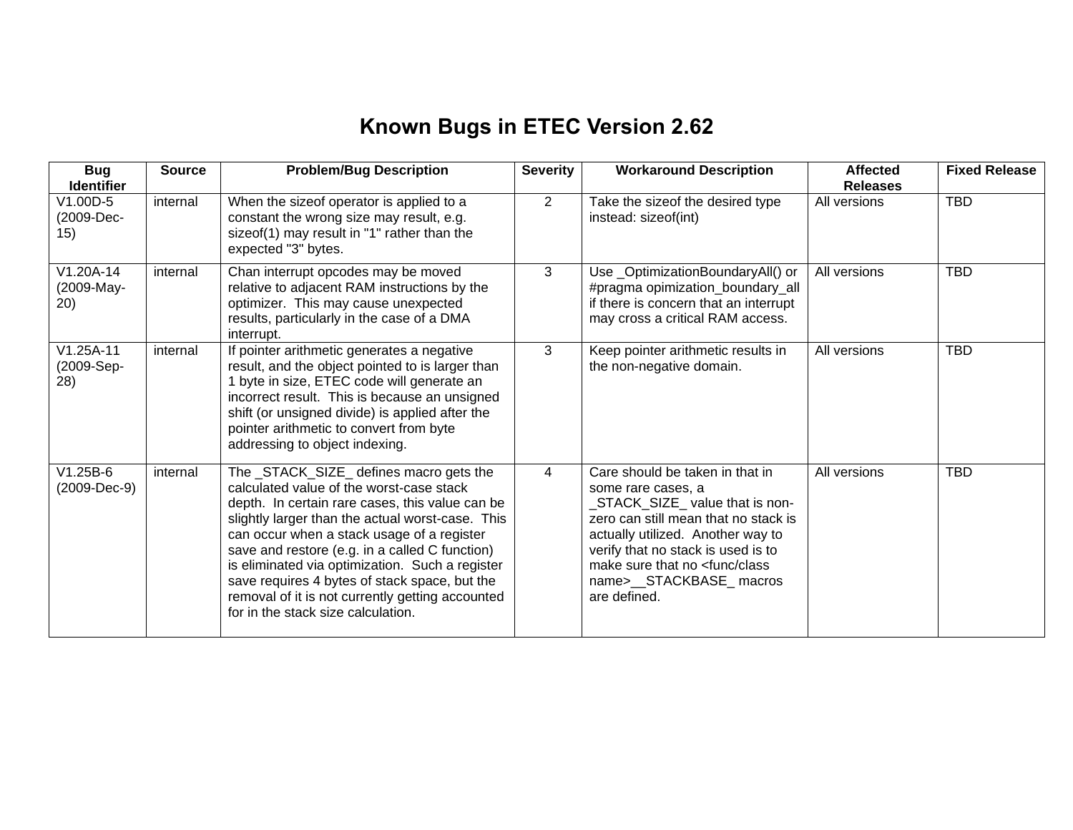## **Known Bugs in ETEC Version 2.62**

| <b>Bug</b><br><b>Identifier</b>  | <b>Source</b> | <b>Problem/Bug Description</b>                                                                                                                                                                                                                                                                                                                                                                                                                                                           | <b>Severity</b> | <b>Workaround Description</b>                                                                                                                                                                                                                                                                        | <b>Affected</b><br><b>Releases</b> | <b>Fixed Release</b> |
|----------------------------------|---------------|------------------------------------------------------------------------------------------------------------------------------------------------------------------------------------------------------------------------------------------------------------------------------------------------------------------------------------------------------------------------------------------------------------------------------------------------------------------------------------------|-----------------|------------------------------------------------------------------------------------------------------------------------------------------------------------------------------------------------------------------------------------------------------------------------------------------------------|------------------------------------|----------------------|
| $V1.00D-5$<br>(2009-Dec-<br>15)  | internal      | When the sizeof operator is applied to a<br>constant the wrong size may result, e.g.<br>sizeof(1) may result in "1" rather than the<br>expected "3" bytes.                                                                                                                                                                                                                                                                                                                               | $\overline{2}$  | Take the sizeof the desired type<br>instead: sizeof(int)                                                                                                                                                                                                                                             | All versions                       | <b>TBD</b>           |
| $V1.20A-14$<br>(2009-May-<br>20) | internal      | Chan interrupt opcodes may be moved<br>relative to adjacent RAM instructions by the<br>optimizer. This may cause unexpected<br>results, particularly in the case of a DMA<br>interrupt.                                                                                                                                                                                                                                                                                                  | 3               | Use_OptimizationBoundaryAll() or<br>#pragma opimization_boundary_all<br>if there is concern that an interrupt<br>may cross a critical RAM access.                                                                                                                                                    | All versions                       | <b>TBD</b>           |
| $V1.25A-11$<br>(2009-Sep-<br>28) | internal      | If pointer arithmetic generates a negative<br>result, and the object pointed to is larger than<br>1 byte in size, ETEC code will generate an<br>incorrect result. This is because an unsigned<br>shift (or unsigned divide) is applied after the<br>pointer arithmetic to convert from byte<br>addressing to object indexing.                                                                                                                                                            | 3               | Keep pointer arithmetic results in<br>the non-negative domain.                                                                                                                                                                                                                                       | All versions                       | <b>TBD</b>           |
| $V1.25B-6$<br>(2009-Dec-9)       | internal      | The _STACK_SIZE_ defines macro gets the<br>calculated value of the worst-case stack<br>depth. In certain rare cases, this value can be<br>slightly larger than the actual worst-case. This<br>can occur when a stack usage of a register<br>save and restore (e.g. in a called C function)<br>is eliminated via optimization. Such a register<br>save requires 4 bytes of stack space, but the<br>removal of it is not currently getting accounted<br>for in the stack size calculation. | $\overline{4}$  | Care should be taken in that in<br>some rare cases, a<br>STACK_SIZE_ value that is non-<br>zero can still mean that no stack is<br>actually utilized. Another way to<br>verify that no stack is used is to<br>make sure that no <func class<br="">name&gt;__STACKBASE_macros<br/>are defined.</func> | All versions                       | <b>TBD</b>           |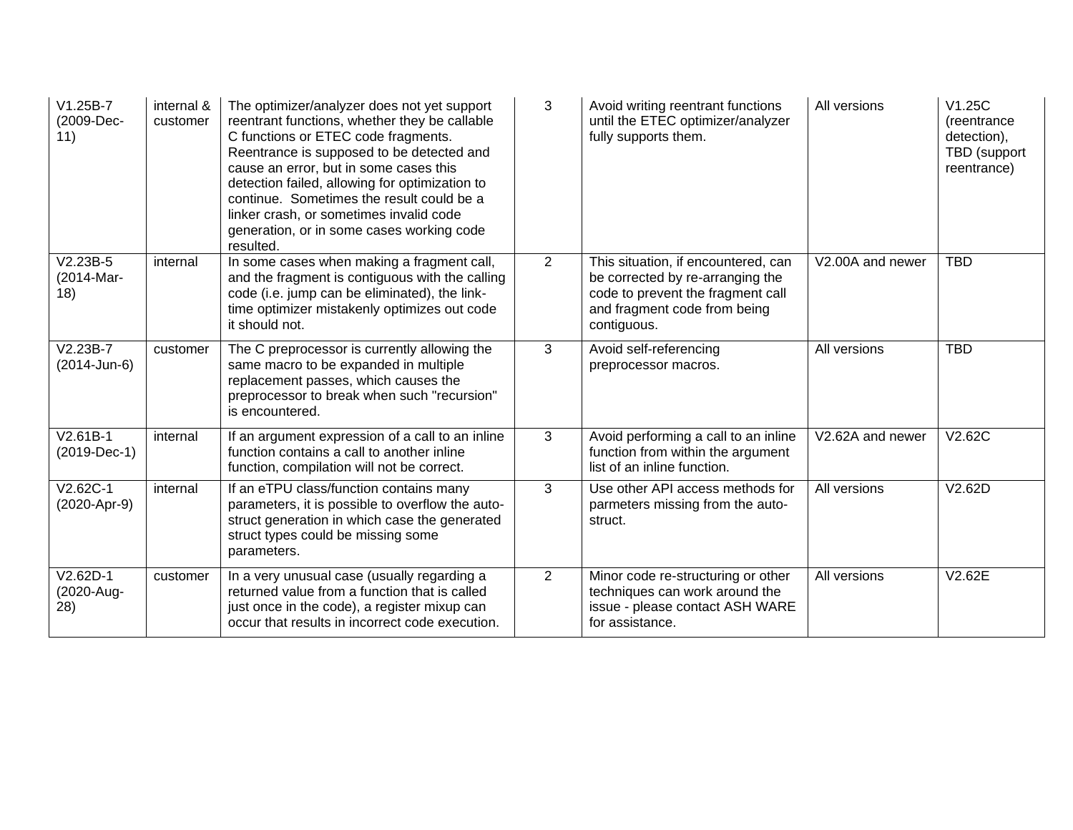| $V1.25B-7$<br>(2009-Dec-<br>11) | internal &<br>customer | The optimizer/analyzer does not yet support<br>reentrant functions, whether they be callable<br>C functions or ETEC code fragments.<br>Reentrance is supposed to be detected and<br>cause an error, but in some cases this<br>detection failed, allowing for optimization to<br>continue. Sometimes the result could be a<br>linker crash, or sometimes invalid code<br>generation, or in some cases working code<br>resulted. | 3              | Avoid writing reentrant functions<br>until the ETEC optimizer/analyzer<br>fully supports them.                                                              | All versions     | V1.25C<br>(reentrance<br>detection),<br>TBD (support<br>reentrance) |
|---------------------------------|------------------------|--------------------------------------------------------------------------------------------------------------------------------------------------------------------------------------------------------------------------------------------------------------------------------------------------------------------------------------------------------------------------------------------------------------------------------|----------------|-------------------------------------------------------------------------------------------------------------------------------------------------------------|------------------|---------------------------------------------------------------------|
| $V2.23B-5$<br>(2014-Mar-<br>18) | internal               | In some cases when making a fragment call,<br>and the fragment is contiguous with the calling<br>code (i.e. jump can be eliminated), the link-<br>time optimizer mistakenly optimizes out code<br>it should not.                                                                                                                                                                                                               | $\overline{2}$ | This situation, if encountered, can<br>be corrected by re-arranging the<br>code to prevent the fragment call<br>and fragment code from being<br>contiguous. | V2.00A and newer | <b>TBD</b>                                                          |
| $V2.23B-7$<br>(2014-Jun-6)      | customer               | The C preprocessor is currently allowing the<br>same macro to be expanded in multiple<br>replacement passes, which causes the<br>preprocessor to break when such "recursion"<br>is encountered.                                                                                                                                                                                                                                | 3              | Avoid self-referencing<br>preprocessor macros.                                                                                                              | All versions     | <b>TBD</b>                                                          |
| $V2.61B-1$<br>$(2019-Dec-1)$    | internal               | If an argument expression of a call to an inline<br>function contains a call to another inline<br>function, compilation will not be correct.                                                                                                                                                                                                                                                                                   | 3              | Avoid performing a call to an inline<br>function from within the argument<br>list of an inline function.                                                    | V2.62A and newer | V2.62C                                                              |
| V2.62C-1<br>(2020-Apr-9)        | internal               | If an eTPU class/function contains many<br>parameters, it is possible to overflow the auto-<br>struct generation in which case the generated<br>struct types could be missing some<br>parameters.                                                                                                                                                                                                                              | 3              | Use other API access methods for<br>parmeters missing from the auto-<br>struct.                                                                             | All versions     | V2.62D                                                              |
| $V2.62D-1$<br>(2020-Aug-<br>28) | customer               | In a very unusual case (usually regarding a<br>returned value from a function that is called<br>just once in the code), a register mixup can<br>occur that results in incorrect code execution.                                                                                                                                                                                                                                | $\overline{2}$ | Minor code re-structuring or other<br>techniques can work around the<br>issue - please contact ASH WARE<br>for assistance.                                  | All versions     | V2.62E                                                              |